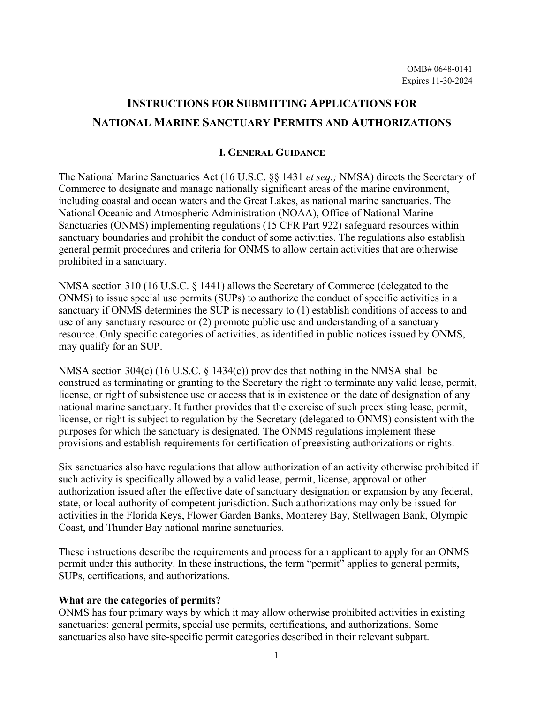# **INSTRUCTIONS FOR SUBMITTING APPLICATIONS FOR NATIONAL MARINE SANCTUARY PERMITS AND AUTHORIZATIONS**

#### **I. GENERAL GUIDANCE**

The National Marine Sanctuaries Act (16 U.S.C. §§ 1431 *et seq.;* NMSA) directs the Secretary of Commerce to designate and manage nationally significant areas of the marine environment, including coastal and ocean waters and the Great Lakes, as national marine sanctuaries. The National Oceanic and Atmospheric Administration (NOAA), Office of National Marine Sanctuaries (ONMS) implementing regulations (15 CFR Part 922) safeguard resources within sanctuary boundaries and prohibit the conduct of some activities. The regulations also establish general permit procedures and criteria for ONMS to allow certain activities that are otherwise prohibited in a sanctuary.

NMSA section 310 (16 U.S.C. § 1441) allows the Secretary of Commerce (delegated to the ONMS) to issue special use permits (SUPs) to authorize the conduct of specific activities in a sanctuary if ONMS determines the SUP is necessary to (1) establish conditions of access to and use of any sanctuary resource or (2) promote public use and understanding of a sanctuary resource. Only specific categories of activities, as identified in public notices issued by ONMS, may qualify for an SUP.

NMSA section 304(c) (16 U.S.C. § 1434(c)) provides that nothing in the NMSA shall be construed as terminating or granting to the Secretary the right to terminate any valid lease, permit, license, or right of subsistence use or access that is in existence on the date of designation of any national marine sanctuary. It further provides that the exercise of such preexisting lease, permit, license, or right is subject to regulation by the Secretary (delegated to ONMS) consistent with the purposes for which the sanctuary is designated. The ONMS regulations implement these provisions and establish requirements for certification of preexisting authorizations or rights.

Six sanctuaries also have regulations that allow authorization of an activity otherwise prohibited if such activity is specifically allowed by a valid lease, permit, license, approval or other authorization issued after the effective date of sanctuary designation or expansion by any federal, state, or local authority of competent jurisdiction. Such authorizations may only be issued for activities in the Florida Keys, Flower Garden Banks, Monterey Bay, Stellwagen Bank, Olympic Coast, and Thunder Bay national marine sanctuaries.

These instructions describe the requirements and process for an applicant to apply for an ONMS permit under this authority. In these instructions, the term "permit" applies to general permits, SUPs, certifications, and authorizations.

#### **What are the categories of permits?**

ONMS has four primary ways by which it may allow otherwise prohibited activities in existing sanctuaries: general permits, special use permits, certifications, and authorizations. Some sanctuaries also have site-specific permit categories described in their relevant subpart.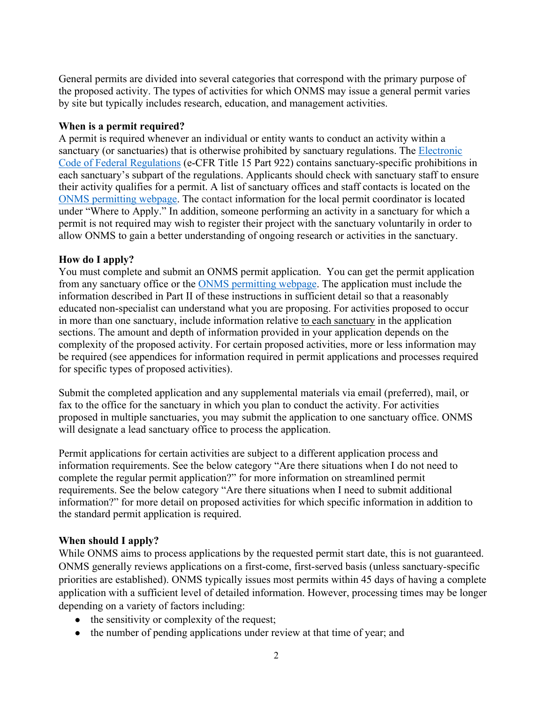General permits are divided into several categories that correspond with the primary purpose of the proposed activity. The types of activities for which ONMS may issue a general permit varies by site but typically includes research, education, and management activities.

# **When is a permit required?**

A permit is required whenever an individual or entity wants to conduct an activity within a sanctuary (or sanctuaries) that is otherwise prohibited by sanctuary regulations. The Electronic [Code of Federal Regulations](https://gov.ecfr.io/cgi-bin/text-idx?SID=a6d782f751dbfe3d42623d97d46fa813&mc=true&tpl=/ecfrbrowse/Title15/15cfr922_main_02.tpl) (e-CFR Title 15 Part 922) contains sanctuary-specific prohibitions in each sanctuary's subpart of the regulations. Applicants should check with sanctuary staff to ensure their activity qualifies for a permit. A list of sanctuary offices and staff contacts is located on the [ONMS permitting webpage.](http://www.sanctuaries.noaa.gov/management/permits/welcome.html) The contact information for the local permit coordinator is located under "Where to Apply." In addition, someone performing an activity in a sanctuary for which a permit is not required may wish to register their project with the sanctuary voluntarily in order to allow ONMS to gain a better understanding of ongoing research or activities in the sanctuary.

# **How do I apply?**

You must complete and submit an ONMS permit application. You can get the permit application from any sanctuary office or the [ONMS permitting webpage.](http://www.sanctuaries.noaa.gov/management/permits/welcome.html) The application must include the information described in Part II of these instructions in sufficient detail so that a reasonably educated non-specialist can understand what you are proposing. For activities proposed to occur in more than one sanctuary, include information relative to each sanctuary in the application sections. The amount and depth of information provided in your application depends on the complexity of the proposed activity. For certain proposed activities, more or less information may be required (see appendices for information required in permit applications and processes required for specific types of proposed activities).

Submit the completed application and any supplemental materials via email (preferred), mail, or fax to the office for the sanctuary in which you plan to conduct the activity. For activities proposed in multiple sanctuaries, you may submit the application to one sanctuary office. ONMS will designate a lead sanctuary office to process the application.

Permit applications for certain activities are subject to a different application process and information requirements. See the below category "Are there situations when I do not need to complete the regular permit application?" for more information on streamlined permit requirements. See the below category "Are there situations when I need to submit additional information?" for more detail on proposed activities for which specific information in addition to the standard permit application is required.

# **When should I apply?**

While ONMS aims to process applications by the requested permit start date, this is not guaranteed. ONMS generally reviews applications on a first-come, first-served basis (unless sanctuary-specific priorities are established). ONMS typically issues most permits within 45 days of having a complete application with a sufficient level of detailed information. However, processing times may be longer depending on a variety of factors including:

- the sensitivity or complexity of the request;
- the number of pending applications under review at that time of year; and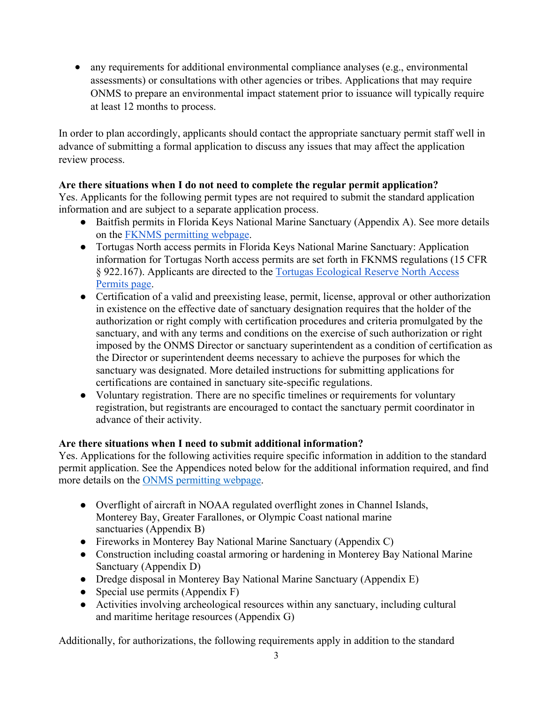• any requirements for additional environmental compliance analyses (e.g., environmental assessments) or consultations with other agencies or tribes. Applications that may require ONMS to prepare an environmental impact statement prior to issuance will typically require at least 12 months to process.

In order to plan accordingly, applicants should contact the appropriate sanctuary permit staff well in advance of submitting a formal application to discuss any issues that may affect the application review process.

# **Are there situations when I do not need to complete the regular permit application?**

Yes. Applicants for the following permit types are not required to submit the standard application information and are subject to a separate application process.

- Baitfish permits in Florida Keys National Marine Sanctuary (Appendix A). See more details on the [FKNMS permitting webpage.](https://floridakeys.noaa.gov/permits/welcome.html?s=management)
- Tortugas North access permits in Florida Keys National Marine Sanctuary: Application information for Tortugas North access permits are set forth in FKNMS regulations (15 CFR § 922.167). Applicants are directed to the [Tortugas Ecological Reserve North Access](https://floridakeys.noaa.gov/permits/tortugas.html)  [Permits page.](https://floridakeys.noaa.gov/permits/tortugas.html)
- Certification of a valid and preexisting lease, permit, license, approval or other authorization in existence on the effective date of sanctuary designation requires that the holder of the authorization or right comply with certification procedures and criteria promulgated by the sanctuary, and with any terms and conditions on the exercise of such authorization or right imposed by the ONMS Director or sanctuary superintendent as a condition of certification as the Director or superintendent deems necessary to achieve the purposes for which the sanctuary was designated. More detailed instructions for submitting applications for certifications are contained in sanctuary site-specific regulations.
- Voluntary registration. There are no specific timelines or requirements for voluntary registration, but registrants are encouraged to contact the sanctuary permit coordinator in advance of their activity.

# **Are there situations when I need to submit additional information?**

Yes. Applications for the following activities require specific information in addition to the standard permit application. See the Appendices noted below for the additional information required, and find more details on the [ONMS permitting webpage.](https://sanctuaries.noaa.gov/management/permits/)

- Overflight of aircraft in NOAA regulated overflight zones in Channel Islands, Monterey Bay, Greater Farallones, or Olympic Coast national marine sanctuaries (Appendix B)
- Fireworks in Monterey Bay National Marine Sanctuary (Appendix C)
- Construction including coastal armoring or hardening in Monterey Bay National Marine Sanctuary (Appendix D)
- Dredge disposal in Monterey Bay National Marine Sanctuary (Appendix E)
- Special use permits (Appendix  $F$ )
- Activities involving archeological resources within any sanctuary, including cultural and maritime heritage resources (Appendix G)

Additionally, for authorizations, the following requirements apply in addition to the standard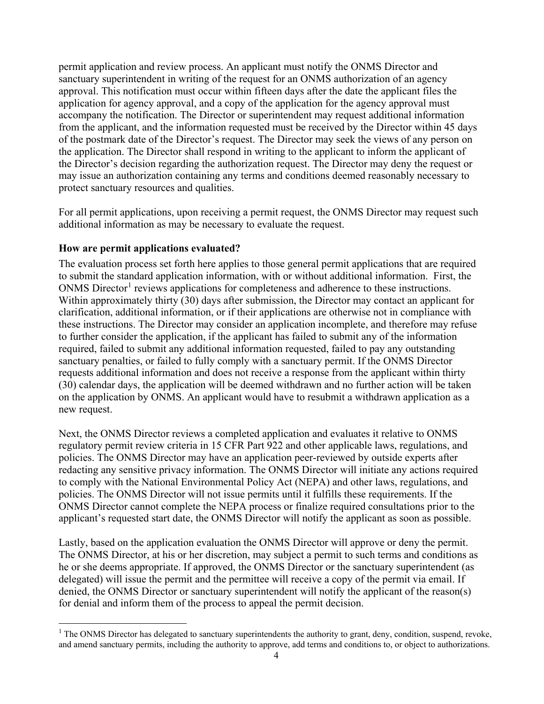permit application and review process. An applicant must notify the ONMS Director and sanctuary superintendent in writing of the request for an ONMS authorization of an agency approval. This notification must occur within fifteen days after the date the applicant files the application for agency approval, and a copy of the application for the agency approval must accompany the notification. The Director or superintendent may request additional information from the applicant, and the information requested must be received by the Director within 45 days of the postmark date of the Director's request. The Director may seek the views of any person on the application. The Director shall respond in writing to the applicant to inform the applicant of the Director's decision regarding the authorization request. The Director may deny the request or may issue an authorization containing any terms and conditions deemed reasonably necessary to protect sanctuary resources and qualities.

For all permit applications, upon receiving a permit request, the ONMS Director may request such additional information as may be necessary to evaluate the request.

#### **How are permit applications evaluated?**

The evaluation process set forth here applies to those general permit applications that are required to submit the standard application information, with or without additional information. First, the ONMS Director<sup>[1](#page-3-0)</sup> reviews applications for completeness and adherence to these instructions. Within approximately thirty (30) days after submission, the Director may contact an applicant for clarification, additional information, or if their applications are otherwise not in compliance with these instructions. The Director may consider an application incomplete, and therefore may refuse to further consider the application, if the applicant has failed to submit any of the information required, failed to submit any additional information requested, failed to pay any outstanding sanctuary penalties, or failed to fully comply with a sanctuary permit. If the ONMS Director requests additional information and does not receive a response from the applicant within thirty (30) calendar days, the application will be deemed withdrawn and no further action will be taken on the application by ONMS. An applicant would have to resubmit a withdrawn application as a new request.

Next, the ONMS Director reviews a completed application and evaluates it relative to ONMS regulatory permit review criteria in 15 CFR Part 922 and other applicable laws, regulations, and policies. The ONMS Director may have an application peer-reviewed by outside experts after redacting any sensitive privacy information. The ONMS Director will initiate any actions required to comply with the National Environmental Policy Act (NEPA) and other laws, regulations, and policies. The ONMS Director will not issue permits until it fulfills these requirements. If the ONMS Director cannot complete the NEPA process or finalize required consultations prior to the applicant's requested start date, the ONMS Director will notify the applicant as soon as possible.

Lastly, based on the application evaluation the ONMS Director will approve or deny the permit. The ONMS Director, at his or her discretion, may subject a permit to such terms and conditions as he or she deems appropriate. If approved, the ONMS Director or the sanctuary superintendent (as delegated) will issue the permit and the permittee will receive a copy of the permit via email. If denied, the ONMS Director or sanctuary superintendent will notify the applicant of the reason(s) for denial and inform them of the process to appeal the permit decision.

<span id="page-3-0"></span> $1$  The ONMS Director has delegated to sanctuary superintendents the authority to grant, deny, condition, suspend, revoke, and amend sanctuary permits, including the authority to approve, add terms and conditions to, or object to authorizations.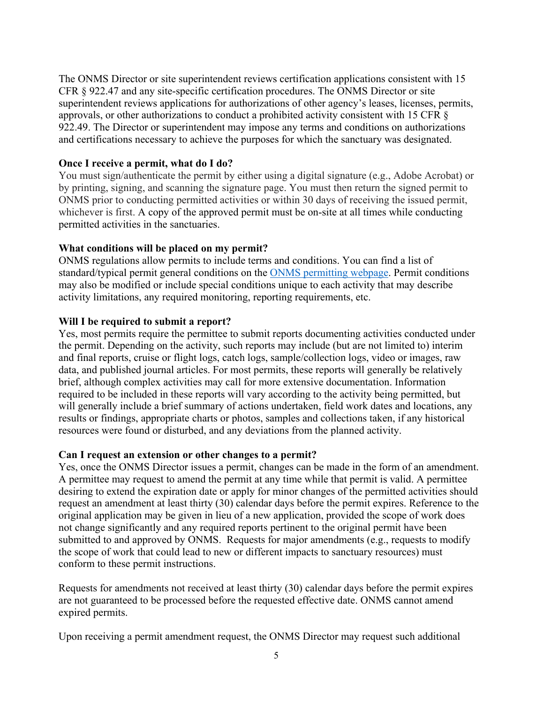The ONMS Director or site superintendent reviews certification applications consistent with 15 CFR § 922.47 and any site-specific certification procedures. The ONMS Director or site superintendent reviews applications for authorizations of other agency's leases, licenses, permits, approvals, or other authorizations to conduct a prohibited activity consistent with 15 CFR § 922.49. The Director or superintendent may impose any terms and conditions on authorizations and certifications necessary to achieve the purposes for which the sanctuary was designated.

#### **Once I receive a permit, what do I do?**

You must sign/authenticate the permit by either using a digital signature (e.g., Adobe Acrobat) or by printing, signing, and scanning the signature page. You must then return the signed permit to ONMS prior to conducting permitted activities or within 30 days of receiving the issued permit, whichever is first. A copy of the approved permit must be on-site at all times while conducting permitted activities in the sanctuaries.

# **What conditions will be placed on my permit?**

ONMS regulations allow permits to include terms and conditions. You can find a list of standard/typical permit general conditions on the [ONMS permitting webpage](https://sanctuaries.noaa.gov/management/permits/)[.](http://www.sanctuaries.noaa.gov/management/permits/welcome.html) Permit conditions may also be modified or include special conditions unique to each activity that may describe activity limitations, any required monitoring, reporting requirements, etc.

# **Will I be required to submit a report?**

Yes, most permits require the permittee to submit reports documenting activities conducted under the permit. Depending on the activity, such reports may include (but are not limited to) interim and final reports, cruise or flight logs, catch logs, sample/collection logs, video or images, raw data, and published journal articles. For most permits, these reports will generally be relatively brief, although complex activities may call for more extensive documentation. Information required to be included in these reports will vary according to the activity being permitted, but will generally include a brief summary of actions undertaken, field work dates and locations, any results or findings, appropriate charts or photos, samples and collections taken, if any historical resources were found or disturbed, and any deviations from the planned activity.

#### **Can I request an extension or other changes to a permit?**

Yes, once the ONMS Director issues a permit, changes can be made in the form of an amendment. A permittee may request to amend the permit at any time while that permit is valid. A permittee desiring to extend the expiration date or apply for minor changes of the permitted activities should request an amendment at least thirty (30) calendar days before the permit expires. Reference to the original application may be given in lieu of a new application, provided the scope of work does not change significantly and any required reports pertinent to the original permit have been submitted to and approved by ONMS. Requests for major amendments (e.g., requests to modify the scope of work that could lead to new or different impacts to sanctuary resources) must conform to these permit instructions.

Requests for amendments not received at least thirty (30) calendar days before the permit expires are not guaranteed to be processed before the requested effective date. ONMS cannot amend expired permits.

Upon receiving a permit amendment request, the ONMS Director may request such additional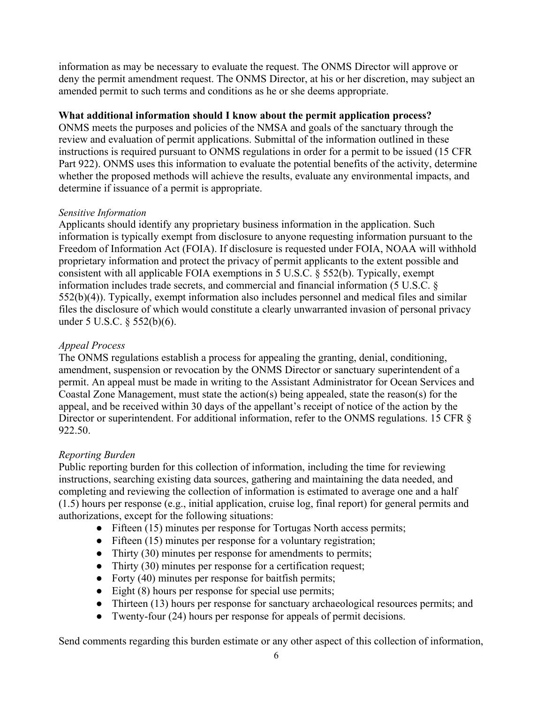information as may be necessary to evaluate the request. The ONMS Director will approve or deny the permit amendment request. The ONMS Director, at his or her discretion, may subject an amended permit to such terms and conditions as he or she deems appropriate.

#### **What additional information should I know about the permit application process?**

ONMS meets the purposes and policies of the NMSA and goals of the sanctuary through the review and evaluation of permit applications. Submittal of the information outlined in these instructions is required pursuant to ONMS regulations in order for a permit to be issued (15 CFR Part 922). ONMS uses this information to evaluate the potential benefits of the activity, determine whether the proposed methods will achieve the results, evaluate any environmental impacts, and determine if issuance of a permit is appropriate.

# *Sensitive Information*

Applicants should identify any proprietary business information in the application. Such information is typically exempt from disclosure to anyone requesting information pursuant to the Freedom of Information Act (FOIA). If disclosure is requested under FOIA, NOAA will withhold proprietary information and protect the privacy of permit applicants to the extent possible and consistent with all applicable FOIA exemptions in 5 U.S.C. § 552(b). Typically, exempt information includes trade secrets, and commercial and financial information (5 U.S.C. § 552(b)(4)). Typically, exempt information also includes personnel and medical files and similar files the disclosure of which would constitute a clearly unwarranted invasion of personal privacy under 5 U.S.C. § 552(b)(6).

# *Appeal Process*

The ONMS regulations establish a process for appealing the granting, denial, conditioning, amendment, suspension or revocation by the ONMS Director or sanctuary superintendent of a permit. An appeal must be made in writing to the Assistant Administrator for Ocean Services and Coastal Zone Management, must state the action(s) being appealed, state the reason(s) for the appeal, and be received within 30 days of the appellant's receipt of notice of the action by the Director or superintendent. For additional information, refer to the ONMS regulations. 15 CFR § 922.50.

# *Reporting Burden*

Public reporting burden for this collection of information, including the time for reviewing instructions, searching existing data sources, gathering and maintaining the data needed, and completing and reviewing the collection of information is estimated to average one and a half (1.5) hours per response (e.g., initial application, cruise log, final report) for general permits and authorizations, except for the following situations:

- Fifteen (15) minutes per response for Tortugas North access permits;
- Fifteen (15) minutes per response for a voluntary registration;
- Thirty (30) minutes per response for amendments to permits;
- Thirty (30) minutes per response for a certification request;
- Forty (40) minutes per response for baitfish permits;
- Eight (8) hours per response for special use permits;
- Thirteen (13) hours per response for sanctuary archaeological resources permits; and
- Twenty-four (24) hours per response for appeals of permit decisions.

Send comments regarding this burden estimate or any other aspect of this collection of information,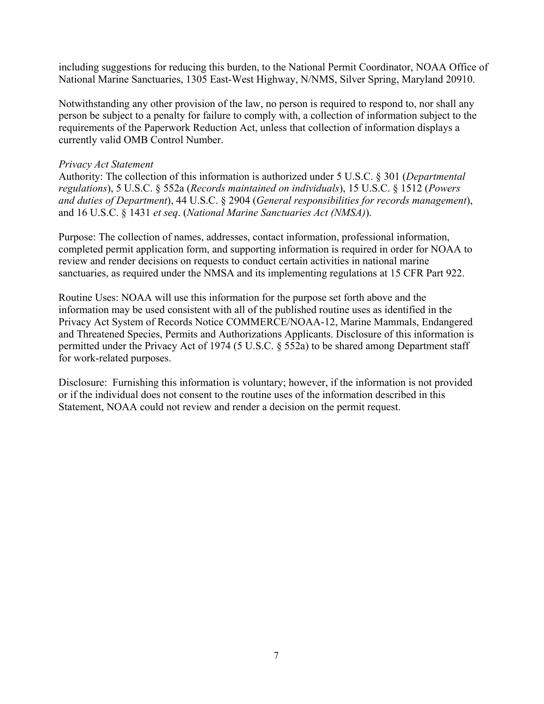including suggestions for reducing this burden, to the National Permit Coordinator, NOAA Office of National Marine Sanctuaries, 1305 East-West Highway, N/NMS, Silver Spring, Maryland 20910.

Notwithstanding any other provision of the law, no person is required to respond to, nor shall any person be subject to a penalty for failure to comply with, a collection of information subject to the requirements of the Paperwork Reduction Act, unless that collection of information displays a currently valid OMB Control Number.

#### *Privacy Act Statement*

Authority: The collection of this information is authorized under 5 U.S.C. § 301 (*Departmental regulations*), 5 U.S.C. § 552a (*Records maintained on individuals*), 15 U.S.C. § 1512 (*Powers and duties of Department*), 44 U.S.C. § 2904 (*General responsibilities for records management*), and 16 U.S.C. § 1431 *et seq*. (*National Marine Sanctuaries Act (NMSA)*).

Purpose: The collection of names, addresses, contact information, professional information, completed permit application form, and supporting information is required in order for NOAA to review and render decisions on requests to conduct certain activities in national marine sanctuaries, as required under the NMSA and its implementing regulations at 15 CFR Part 922.

Routine Uses: NOAA will use this information for the purpose set forth above and the information may be used consistent with all of the published routine uses as identified in the Privacy Act System of Records Notice COMMERCE/NOAA-12, Marine Mammals, Endangered and Threatened Species, Permits and Authorizations Applicants. Disclosure of this information is permitted under the Privacy Act of 1974 (5 U.S.C. § 552a) to be shared among Department staff for work-related purposes.

Disclosure: Furnishing this information is voluntary; however, if the information is not provided or if the individual does not consent to the routine uses of the information described in this Statement, NOAA could not review and render a decision on the permit request.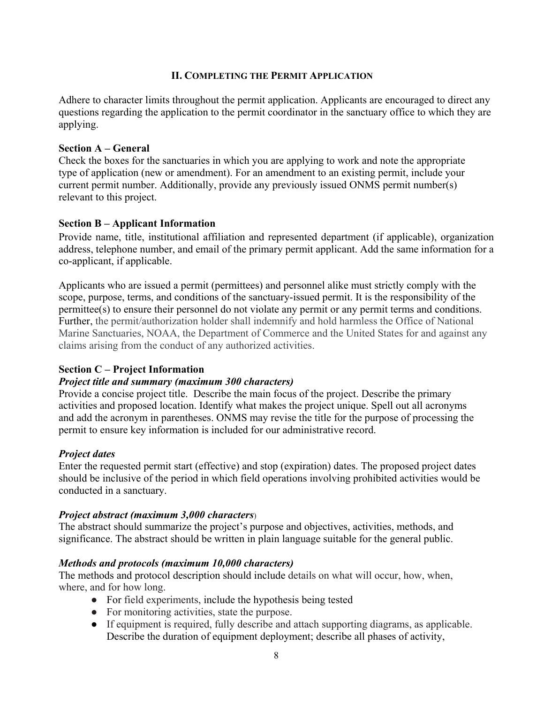# **II. COMPLETING THE PERMIT APPLICATION**

Adhere to character limits throughout the permit application. Applicants are encouraged to direct any questions regarding the application to the permit coordinator in the sanctuary office to which they are applying.

#### **Section A – General**

Check the boxes for the sanctuaries in which you are applying to work and note the appropriate type of application (new or amendment). For an amendment to an existing permit, include your current permit number. Additionally, provide any previously issued ONMS permit number(s) relevant to this project.

# **Section B – Applicant Information**

Provide name, title, institutional affiliation and represented department (if applicable), organization address, telephone number, and email of the primary permit applicant. Add the same information for a co-applicant, if applicable.

Applicants who are issued a permit (permittees) and personnel alike must strictly comply with the scope, purpose, terms, and conditions of the sanctuary-issued permit. It is the responsibility of the permittee(s) to ensure their personnel do not violate any permit or any permit terms and conditions. Further, the permit/authorization holder shall indemnify and hold harmless the Office of National Marine Sanctuaries, NOAA, the Department of Commerce and the United States for and against any claims arising from the conduct of any authorized activities.

# **Section C – Project Information**

# *Project title and summary (maximum 300 characters)*

Provide a concise project title. Describe the main focus of the project. Describe the primary activities and proposed location. Identify what makes the project unique. Spell out all acronyms and add the acronym in parentheses. ONMS may revise the title for the purpose of processing the permit to ensure key information is included for our administrative record.

# *Project dates*

Enter the requested permit start (effective) and stop (expiration) dates. The proposed project dates should be inclusive of the period in which field operations involving prohibited activities would be conducted in a sanctuary.

#### *Project abstract (maximum 3,000 characters*)

The abstract should summarize the project's purpose and objectives, activities, methods, and significance. The abstract should be written in plain language suitable for the general public.

# *Methods and protocols (maximum 10,000 characters)*

The methods and protocol description should include details on what will occur, how, when, where, and for how long.

- For field experiments, include the hypothesis being tested
- For monitoring activities, state the purpose.
- If equipment is required, fully describe and attach supporting diagrams, as applicable. Describe the duration of equipment deployment; describe all phases of activity,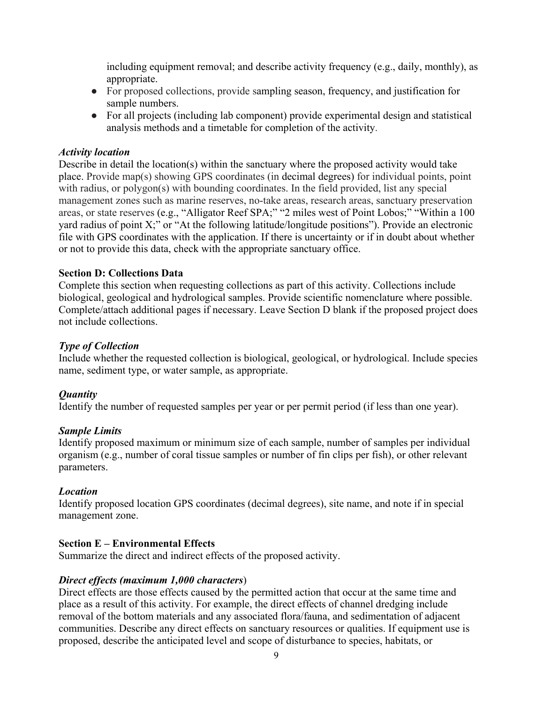including equipment removal; and describe activity frequency (e.g., daily, monthly), as appropriate.

- For proposed collections, provide sampling season, frequency, and justification for sample numbers.
- For all projects (including lab component) provide experimental design and statistical analysis methods and a timetable for completion of the activity.

# *Activity location*

Describe in detail the location(s) within the sanctuary where the proposed activity would take place. Provide map(s) showing GPS coordinates (in decimal degrees) for individual points, point with radius, or polygon(s) with bounding coordinates. In the field provided, list any special management zones such as marine reserves, no-take areas, research areas, sanctuary preservation areas, or state reserves (e.g., "Alligator Reef SPA;" "2 miles west of Point Lobos;" "Within a 100 yard radius of point X;" or "At the following latitude/longitude positions"). Provide an electronic file with GPS coordinates with the application. If there is uncertainty or if in doubt about whether or not to provide this data, check with the appropriate sanctuary office.

# **Section D: Collections Data**

Complete this section when requesting collections as part of this activity. Collections include biological, geological and hydrological samples. Provide scientific nomenclature where possible. Complete/attach additional pages if necessary. Leave Section D blank if the proposed project does not include collections.

# *Type of Collection*

Include whether the requested collection is biological, geological, or hydrological. Include species name, sediment type, or water sample, as appropriate.

# *Quantity*

Identify the number of requested samples per year or per permit period (if less than one year).

#### *Sample Limits*

Identify proposed maximum or minimum size of each sample, number of samples per individual organism (e.g., number of coral tissue samples or number of fin clips per fish), or other relevant parameters.

#### *Location*

Identify proposed location GPS coordinates (decimal degrees), site name, and note if in special management zone.

#### **Section E – Environmental Effects**

Summarize the direct and indirect effects of the proposed activity.

#### *Direct effects (maximum 1,000 characters*)

Direct effects are those effects caused by the permitted action that occur at the same time and place as a result of this activity. For example, the direct effects of channel dredging include removal of the bottom materials and any associated flora/fauna, and sedimentation of adjacent communities. Describe any direct effects on sanctuary resources or qualities. If equipment use is proposed, describe the anticipated level and scope of disturbance to species, habitats, or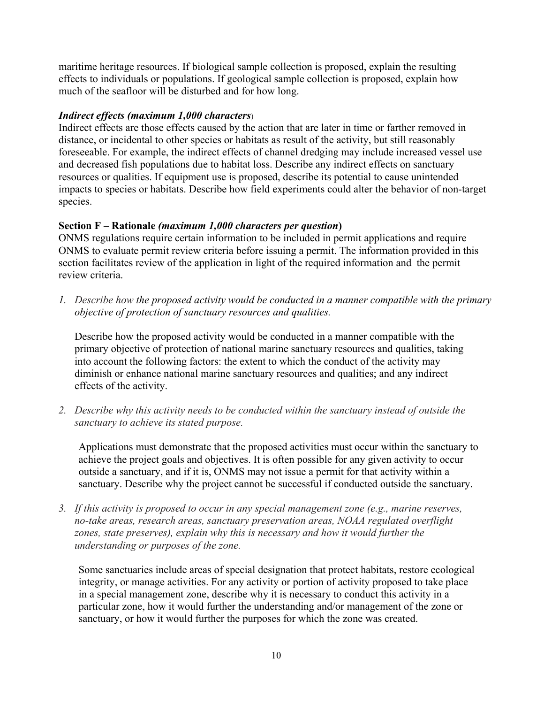maritime heritage resources. If biological sample collection is proposed, explain the resulting effects to individuals or populations. If geological sample collection is proposed, explain how much of the seafloor will be disturbed and for how long.

# *Indirect effects (maximum 1,000 characters*)

Indirect effects are those effects caused by the action that are later in time or farther removed in distance, or incidental to other species or habitats as result of the activity, but still reasonably foreseeable. For example, the indirect effects of channel dredging may include increased vessel use and decreased fish populations due to habitat loss. Describe any indirect effects on sanctuary resources or qualities. If equipment use is proposed, describe its potential to cause unintended impacts to species or habitats. Describe how field experiments could alter the behavior of non-target species.

# **Section F – Rationale** *(maximum 1,000 characters per question***)**

ONMS regulations require certain information to be included in permit applications and require ONMS to evaluate permit review criteria before issuing a permit. The information provided in this section facilitates review of the application in light of the required information and the permit review criteria.

*1. Describe how the proposed activity would be conducted in a manner compatible with the primary objective of protection of sanctuary resources and qualities.*

Describe how the proposed activity would be conducted in a manner compatible with the primary objective of protection of national marine sanctuary resources and qualities, taking into account the following factors: the extent to which the conduct of the activity may diminish or enhance national marine sanctuary resources and qualities; and any indirect effects of the activity.

*2. Describe why this activity needs to be conducted within the sanctuary instead of outside the sanctuary to achieve its stated purpose.*

Applications must demonstrate that the proposed activities must occur within the sanctuary to achieve the project goals and objectives. It is often possible for any given activity to occur outside a sanctuary, and if it is, ONMS may not issue a permit for that activity within a sanctuary. Describe why the project cannot be successful if conducted outside the sanctuary.

*3. If this activity is proposed to occur in any special management zone (e.g., marine reserves, no-take areas, research areas, sanctuary preservation areas, NOAA regulated overflight zones, state preserves), explain why this is necessary and how it would further the understanding or purposes of the zone.*

Some sanctuaries include areas of special designation that protect habitats, restore ecological integrity, or manage activities. For any activity or portion of activity proposed to take place in a special management zone, describe why it is necessary to conduct this activity in a particular zone, how it would further the understanding and/or management of the zone or sanctuary, or how it would further the purposes for which the zone was created.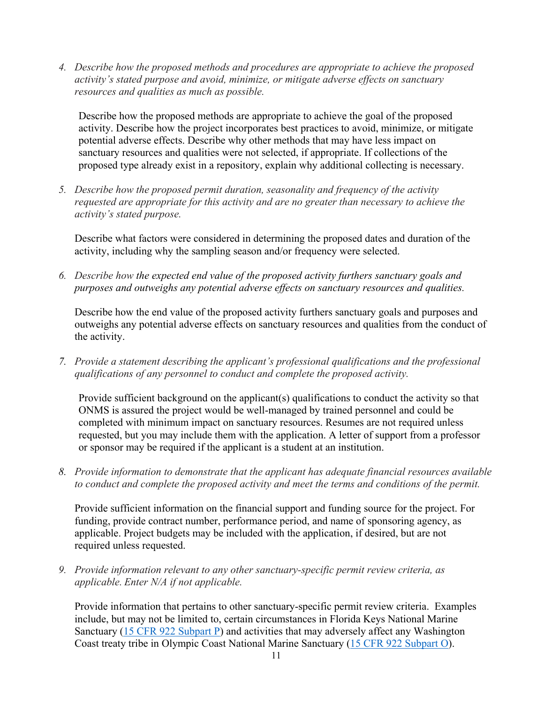*4. Describe how the proposed methods and procedures are appropriate to achieve the proposed activity's stated purpose and avoid, minimize, or mitigate adverse effects on sanctuary resources and qualities as much as possible.*

Describe how the proposed methods are appropriate to achieve the goal of the proposed activity. Describe how the project incorporates best practices to avoid, minimize, or mitigate potential adverse effects. Describe why other methods that may have less impact on sanctuary resources and qualities were not selected, if appropriate. If collections of the proposed type already exist in a repository, explain why additional collecting is necessary.

*5. Describe how the proposed permit duration, seasonality and frequency of the activity requested are appropriate for this activity and are no greater than necessary to achieve the activity's stated purpose.*

Describe what factors were considered in determining the proposed dates and duration of the activity, including why the sampling season and/or frequency were selected.

*6. Describe how the expected end value of the proposed activity furthers sanctuary goals and purposes and outweighs any potential adverse effects on sanctuary resources and qualities.*

Describe how the end value of the proposed activity furthers sanctuary goals and purposes and outweighs any potential adverse effects on sanctuary resources and qualities from the conduct of the activity.

*7. Provide a statement describing the applicant's professional qualifications and the professional qualifications of any personnel to conduct and complete the proposed activity.* 

Provide sufficient background on the applicant(s) qualifications to conduct the activity so that ONMS is assured the project would be well-managed by trained personnel and could be completed with minimum impact on sanctuary resources. Resumes are not required unless requested, but you may include them with the application. A letter of support from a professor or sponsor may be required if the applicant is a student at an institution.

*8. Provide information to demonstrate that the applicant has adequate financial resources available to conduct and complete the proposed activity and meet the terms and conditions of the permit.* 

Provide sufficient information on the financial support and funding source for the project. For funding, provide contract number, performance period, and name of sponsoring agency, as applicable. Project budgets may be included with the application, if desired, but are not required unless requested.

*9. Provide information relevant to any other sanctuary-specific permit review criteria, as applicable. Enter N/A if not applicable.*

Provide information that pertains to other sanctuary-specific permit review criteria. Examples include, but may not be limited to, certain circumstances in Florida Keys National Marine Sanctuary [\(15 CFR 922 Subpart P\)](https://www.ecfr.gov/cgi-bin/retrieveECFR?gp=1&SID=ccbf5be45762ed917561e3f6b1691235&ty=HTML&h=L&mc=true&r=PART&n=pt15.3.922#sp15.3.922.p) and activities that may adversely affect any Washington Coast treaty tribe in Olympic Coast National Marine Sanctuary [\(15 CFR 922 Subpart O\)](https://www.ecfr.gov/cgi-bin/retrieveECFR?gp=1&SID=ccbf5be45762ed917561e3f6b1691235&ty=HTML&h=L&mc=true&r=PART&n=pt15.3.922#sp15.3.922.o).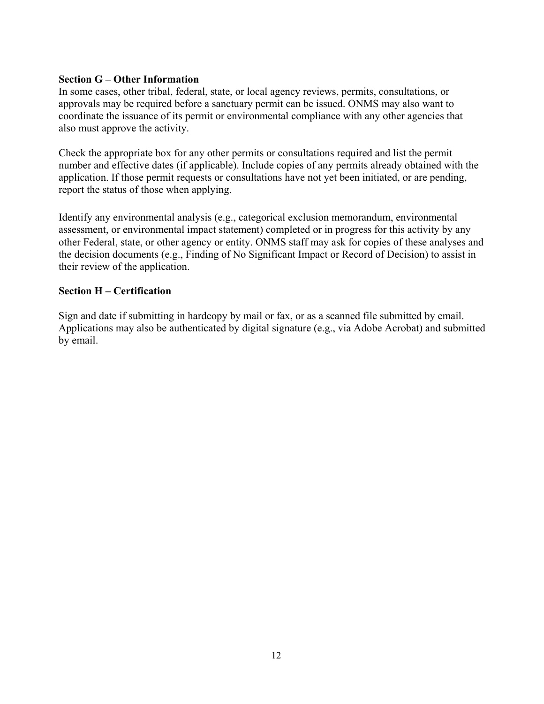#### **Section G – Other Information**

In some cases, other tribal, federal, state, or local agency reviews, permits, consultations, or approvals may be required before a sanctuary permit can be issued. ONMS may also want to coordinate the issuance of its permit or environmental compliance with any other agencies that also must approve the activity.

Check the appropriate box for any other permits or consultations required and list the permit number and effective dates (if applicable). Include copies of any permits already obtained with the application. If those permit requests or consultations have not yet been initiated, or are pending, report the status of those when applying.

Identify any environmental analysis (e.g., categorical exclusion memorandum, environmental assessment, or environmental impact statement) completed or in progress for this activity by any other Federal, state, or other agency or entity. ONMS staff may ask for copies of these analyses and the decision documents (e.g., Finding of No Significant Impact or Record of Decision) to assist in their review of the application.

# **Section H – Certification**

Sign and date if submitting in hardcopy by mail or fax, or as a scanned file submitted by email. Applications may also be authenticated by digital signature (e.g., via Adobe Acrobat) and submitted by email.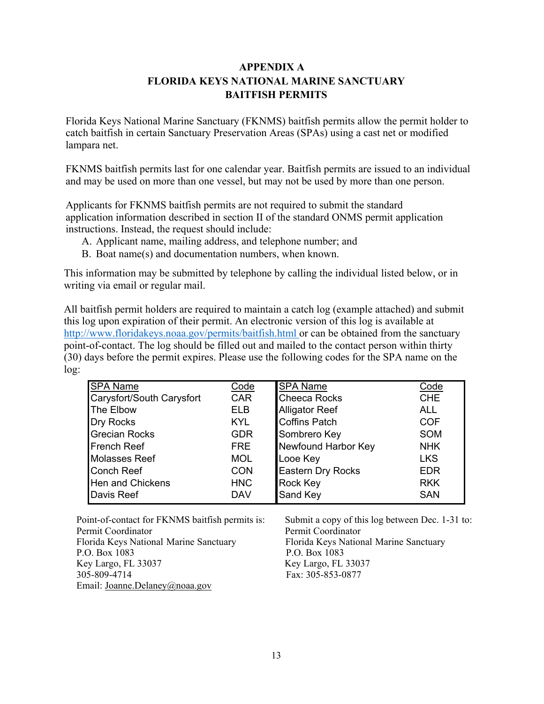# **APPENDIX A FLORIDA KEYS NATIONAL MARINE SANCTUARY BAITFISH PERMITS**

Florida Keys National Marine Sanctuary (FKNMS) baitfish permits allow the permit holder to catch baitfish in certain Sanctuary Preservation Areas (SPAs) using a cast net or modified lampara net.

FKNMS baitfish permits last for one calendar year. Baitfish permits are issued to an individual and may be used on more than one vessel, but may not be used by more than one person.

Applicants for FKNMS baitfish permits are not required to submit the standard application information described in section II of the standard ONMS permit application instructions. Instead, the request should include:

- A. Applicant name, mailing address, and telephone number; and
- B. Boat name(s) and documentation numbers, when known.

This information may be submitted by telephone by calling the individual listed below, or in writing via email or regular mail.

All baitfish permit holders are required to maintain a catch log (example attached) and submit this log upon expiration of their permit. An electronic version of this log is available at <http://www.floridakeys.noaa.gov/permits/baitfish.html> or can be obtained from the sanctuary point-of-contact. The log should be filled out and mailed to the contact person within thirty (30) days before the permit expires. Please use the following codes for the SPA name on the log:

| <b>SPA Name</b>           | Code       | <b>SPA Name</b>          | Code       |
|---------------------------|------------|--------------------------|------------|
| Carysfort/South Carysfort | <b>CAR</b> | <b>Cheeca Rocks</b>      | <b>CHE</b> |
| The Elbow                 | <b>ELB</b> | <b>Alligator Reef</b>    | <b>ALL</b> |
| Dry Rocks                 | KYL.       | <b>Coffins Patch</b>     | <b>COF</b> |
| <b>Grecian Rocks</b>      | <b>GDR</b> | Sombrero Key             | <b>SOM</b> |
| <b>French Reef</b>        | <b>FRE</b> | Newfound Harbor Key      | <b>NHK</b> |
| <b>Molasses Reef</b>      | <b>MOL</b> | Looe Key                 | <b>LKS</b> |
| <b>Conch Reef</b>         | <b>CON</b> | <b>Eastern Dry Rocks</b> | <b>EDR</b> |
| Hen and Chickens          | <b>HNC</b> | <b>Rock Key</b>          | <b>RKK</b> |
| Davis Reef                | <b>DAV</b> | Sand Key                 | <b>SAN</b> |

Point-of-contact for FKNMS baitfish permits is: Submit a copy of this log between Dec. 1-31 to: Permit Coordinator **Permit Coordinator** Florida Keys National Marine Sanctuary Florida Keys National Marine Sanctuary<br>P.O. Box 1083 P.O. Box 1083 Key Largo, FL 33037 305-809-4714 Fax: 305-853-0877 Email: [Joanne.Delaney@noaa.gov](mailto:Joanne.Delaney@noaa.gov)

P.O. Box 1083<br>Key Largo, FL 33037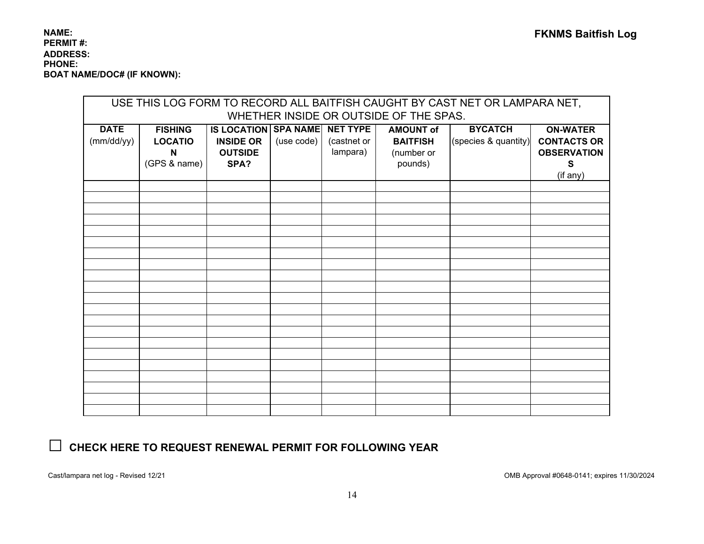#### **NAME: PERMIT #: FKNMS Baitfish Log ADDRESS: PHONE: BOAT NAME/DOC# (IF KNOWN):**

| USE THIS LOG FORM TO RECORD ALL BAITFISH CAUGHT BY CAST NET OR LAMPARA NET, |                |                               |            |             |                  |                      |                    |  |  |  |
|-----------------------------------------------------------------------------|----------------|-------------------------------|------------|-------------|------------------|----------------------|--------------------|--|--|--|
| WHETHER INSIDE OR OUTSIDE OF THE SPAS.                                      |                |                               |            |             |                  |                      |                    |  |  |  |
| <b>DATE</b>                                                                 | <b>FISHING</b> | IS LOCATION SPA NAME NET TYPE |            |             | <b>AMOUNT of</b> | <b>BYCATCH</b>       | <b>ON-WATER</b>    |  |  |  |
| (mm/dd/yy)                                                                  | <b>LOCATIO</b> | <b>INSIDE OR</b>              | (use code) | (castnet or | <b>BAITFISH</b>  | (species & quantity) | <b>CONTACTS OR</b> |  |  |  |
|                                                                             | N              | <b>OUTSIDE</b>                |            | lampara)    | (number or       |                      | <b>OBSERVATION</b> |  |  |  |
|                                                                             | (GPS & name)   | SPA?                          |            |             | pounds)          |                      | S                  |  |  |  |
|                                                                             |                |                               |            |             |                  |                      | (if any)           |  |  |  |
|                                                                             |                |                               |            |             |                  |                      |                    |  |  |  |
|                                                                             |                |                               |            |             |                  |                      |                    |  |  |  |
|                                                                             |                |                               |            |             |                  |                      |                    |  |  |  |
|                                                                             |                |                               |            |             |                  |                      |                    |  |  |  |
|                                                                             |                |                               |            |             |                  |                      |                    |  |  |  |
|                                                                             |                |                               |            |             |                  |                      |                    |  |  |  |
|                                                                             |                |                               |            |             |                  |                      |                    |  |  |  |
|                                                                             |                |                               |            |             |                  |                      |                    |  |  |  |
|                                                                             |                |                               |            |             |                  |                      |                    |  |  |  |
|                                                                             |                |                               |            |             |                  |                      |                    |  |  |  |
|                                                                             |                |                               |            |             |                  |                      |                    |  |  |  |
|                                                                             |                |                               |            |             |                  |                      |                    |  |  |  |
|                                                                             |                |                               |            |             |                  |                      |                    |  |  |  |
|                                                                             |                |                               |            |             |                  |                      |                    |  |  |  |
|                                                                             |                |                               |            |             |                  |                      |                    |  |  |  |
|                                                                             |                |                               |            |             |                  |                      |                    |  |  |  |
|                                                                             |                |                               |            |             |                  |                      |                    |  |  |  |
|                                                                             |                |                               |            |             |                  |                      |                    |  |  |  |
|                                                                             |                |                               |            |             |                  |                      |                    |  |  |  |
|                                                                             |                |                               |            |             |                  |                      |                    |  |  |  |
|                                                                             |                |                               |            |             |                  |                      |                    |  |  |  |

# **□ CHECK HERE TO REQUEST RENEWAL PERMIT FOR FOLLOWING YEAR**

Cast/lampara net log - Revised 12/21 OMB Approval #0648-0141; expires 11/30/2024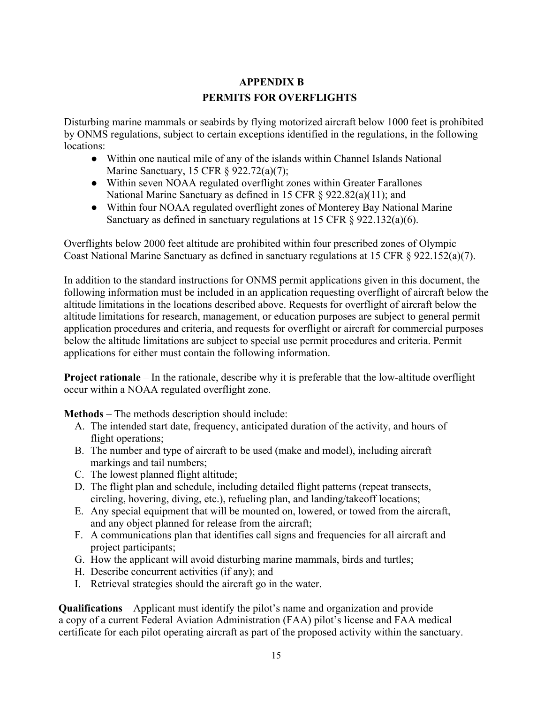# **APPENDIX B PERMITS FOR OVERFLIGHTS**

Disturbing marine mammals or seabirds by flying motorized aircraft below 1000 feet is prohibited by ONMS regulations, subject to certain exceptions identified in the regulations, in the following locations:

- Within one nautical mile of any of the islands within Channel Islands National Marine Sanctuary, 15 CFR § 922.72(a)(7);
- Within seven NOAA regulated overflight zones within Greater Farallones National Marine Sanctuary as defined in 15 CFR § 922.82(a)(11); and
- Within four NOAA regulated overflight zones of Monterey Bay National Marine Sanctuary as defined in sanctuary regulations at 15 CFR  $\S$  922.132(a)(6).

Overflights below 2000 feet altitude are prohibited within four prescribed zones of Olympic Coast National Marine Sanctuary as defined in sanctuary regulations at 15 CFR § 922.152(a)(7).

In addition to the standard instructions for ONMS permit applications given in this document, the following information must be included in an application requesting overflight of aircraft below the altitude limitations in the locations described above. Requests for overflight of aircraft below the altitude limitations for research, management, or education purposes are subject to general permit application procedures and criteria, and requests for overflight or aircraft for commercial purposes below the altitude limitations are subject to special use permit procedures and criteria. Permit applications for either must contain the following information.

**Project rationale** – In the rationale, describe why it is preferable that the low-altitude overflight occur within a NOAA regulated overflight zone.

**Methods** – The methods description should include:

- A. The intended start date, frequency, anticipated duration of the activity, and hours of flight operations;
- B. The number and type of aircraft to be used (make and model), including aircraft markings and tail numbers;
- C. The lowest planned flight altitude;
- D. The flight plan and schedule, including detailed flight patterns (repeat transects, circling, hovering, diving, etc.), refueling plan, and landing/takeoff locations;
- E. Any special equipment that will be mounted on, lowered, or towed from the aircraft, and any object planned for release from the aircraft;
- F. A communications plan that identifies call signs and frequencies for all aircraft and project participants;
- G. How the applicant will avoid disturbing marine mammals, birds and turtles;
- H. Describe concurrent activities (if any); and
- I. Retrieval strategies should the aircraft go in the water.

**Qualifications** – Applicant must identify the pilot's name and organization and provide a copy of a current Federal Aviation Administration (FAA) pilot's license and FAA medical certificate for each pilot operating aircraft as part of the proposed activity within the sanctuary.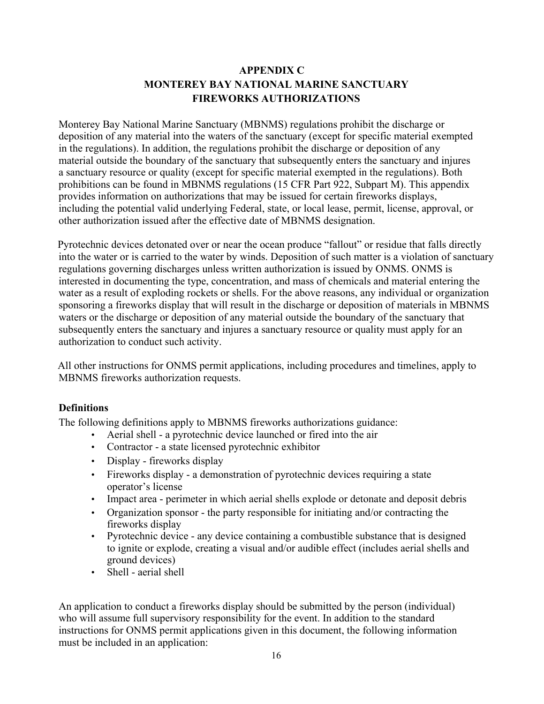# **APPENDIX C MONTEREY BAY NATIONAL MARINE SANCTUARY FIREWORKS AUTHORIZATIONS**

Monterey Bay National Marine Sanctuary (MBNMS) regulations prohibit the discharge or deposition of any material into the waters of the sanctuary (except for specific material exempted in the regulations). In addition, the regulations prohibit the discharge or deposition of any material outside the boundary of the sanctuary that subsequently enters the sanctuary and injures a sanctuary resource or quality (except for specific material exempted in the regulations). Both prohibitions can be found in MBNMS regulations (15 CFR Part 922, Subpart M). This appendix provides information on authorizations that may be issued for certain fireworks displays, including the potential valid underlying Federal, state, or local lease, permit, license, approval, or other authorization issued after the effective date of MBNMS designation.

Pyrotechnic devices detonated over or near the ocean produce "fallout" or residue that falls directly into the water or is carried to the water by winds. Deposition of such matter is a violation of sanctuary regulations governing discharges unless written authorization is issued by ONMS. ONMS is interested in documenting the type, concentration, and mass of chemicals and material entering the water as a result of exploding rockets or shells. For the above reasons, any individual or organization sponsoring a fireworks display that will result in the discharge or deposition of materials in MBNMS waters or the discharge or deposition of any material outside the boundary of the sanctuary that subsequently enters the sanctuary and injures a sanctuary resource or quality must apply for an authorization to conduct such activity.

All other instructions for ONMS permit applications, including procedures and timelines, apply to MBNMS fireworks authorization requests.

# **Definitions**

The following definitions apply to MBNMS fireworks authorizations guidance:

- Aerial shell a pyrotechnic device launched or fired into the air
- Contractor a state licensed pyrotechnic exhibitor
- Display fireworks display
- Fireworks display a demonstration of pyrotechnic devices requiring a state operator's license
- Impact area perimeter in which aerial shells explode or detonate and deposit debris
- Organization sponsor the party responsible for initiating and/or contracting the fireworks display
- Pyrotechnic device any device containing a combustible substance that is designed to ignite or explode, creating a visual and/or audible effect (includes aerial shells and ground devices)
- Shell aerial shell

An application to conduct a fireworks display should be submitted by the person (individual) who will assume full supervisory responsibility for the event. In addition to the standard instructions for ONMS permit applications given in this document, the following information must be included in an application: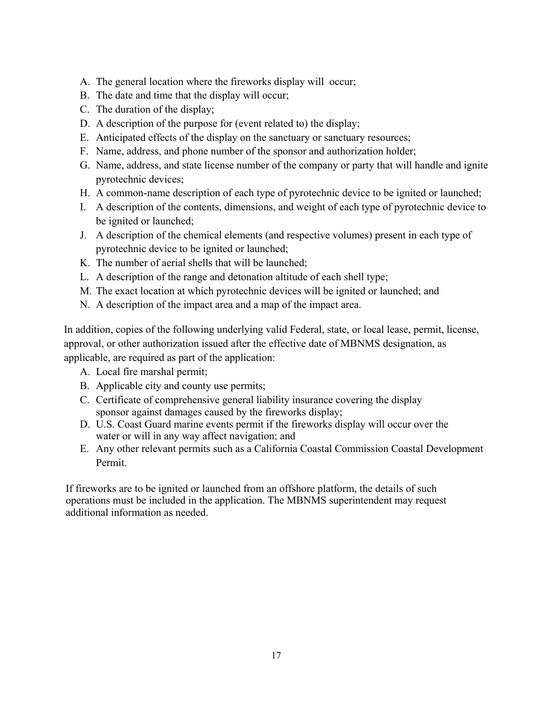- A. The general location where the fireworks display will occur;
- B. The date and time that the display will occur;
- C. The duration of the display;
- D. A description of the purpose for (event related to) the display;
- E. Anticipated effects of the display on the sanctuary or sanctuary resources;
- F. Name, address, and phone number of the sponsor and authorization holder;
- G. Name, address, and state license number of the company or party that will handle and ignite pyrotechnic devices;
- H. A common-name description of each type of pyrotechnic device to be ignited or launched;
- I. A description of the contents, dimensions, and weight of each type of pyrotechnic device to be ignited or launched;
- J. A description of the chemical elements (and respective volumes) present in each type of pyrotechnic device to be ignited or launched;
- K. The number of aerial shells that will be launched;
- L. A description of the range and detonation altitude of each shell type;
- M. The exact location at which pyrotechnic devices will be ignited or launched; and
- N. A description of the impact area and a map of the impact area.

In addition, copies of the following underlying valid Federal, state, or local lease, permit, license, approval, or other authorization issued after the effective date of MBNMS designation, as applicable, are required as part of the application:

- A. Local fire marshal permit;
- B. Applicable city and county use permits;
- C. Certificate of comprehensive general liability insurance covering the display sponsor against damages caused by the fireworks display;
- D. U.S. Coast Guard marine events permit if the fireworks display will occur over the water or will in any way affect navigation; and
- E. Any other relevant permits such as a California Coastal Commission Coastal Development Permit.

If fireworks are to be ignited or launched from an offshore platform, the details of such operations must be included in the application. The MBNMS superintendent may request additional information as needed.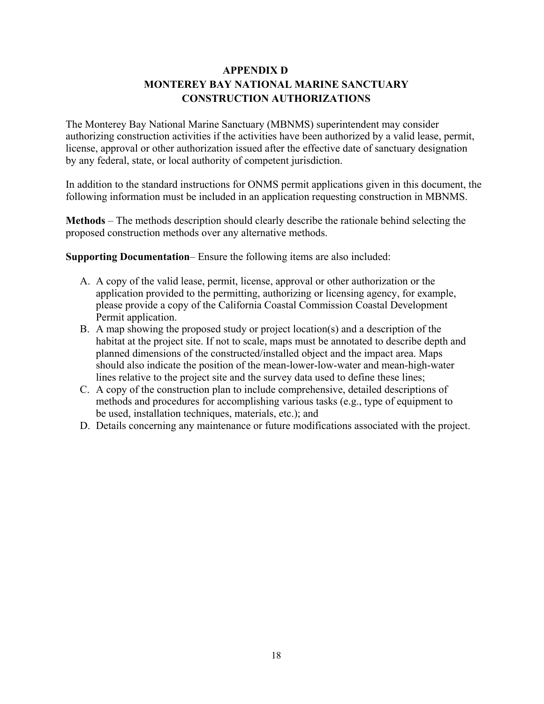# **APPENDIX D MONTEREY BAY NATIONAL MARINE SANCTUARY CONSTRUCTION AUTHORIZATIONS**

The Monterey Bay National Marine Sanctuary (MBNMS) superintendent may consider authorizing construction activities if the activities have been authorized by a valid lease, permit, license, approval or other authorization issued after the effective date of sanctuary designation by any federal, state, or local authority of competent jurisdiction.

In addition to the standard instructions for ONMS permit applications given in this document, the following information must be included in an application requesting construction in MBNMS.

**Methods** – The methods description should clearly describe the rationale behind selecting the proposed construction methods over any alternative methods.

**Supporting Documentation**– Ensure the following items are also included:

- A. A copy of the valid lease, permit, license, approval or other authorization or the application provided to the permitting, authorizing or licensing agency, for example, please provide a copy of the California Coastal Commission Coastal Development Permit application.
- B. A map showing the proposed study or project location(s) and a description of the habitat at the project site. If not to scale, maps must be annotated to describe depth and planned dimensions of the constructed/installed object and the impact area. Maps should also indicate the position of the mean-lower-low-water and mean-high-water lines relative to the project site and the survey data used to define these lines;
- C. A copy of the construction plan to include comprehensive, detailed descriptions of methods and procedures for accomplishing various tasks (e.g., type of equipment to be used, installation techniques, materials, etc.); and
- D. Details concerning any maintenance or future modifications associated with the project.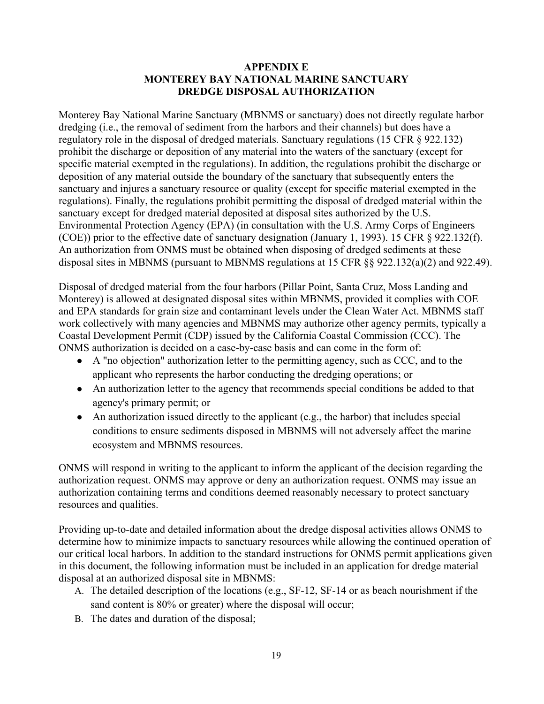#### **APPENDIX E MONTEREY BAY NATIONAL MARINE SANCTUARY DREDGE DISPOSAL AUTHORIZATION**

Monterey Bay National Marine Sanctuary (MBNMS or sanctuary) does not directly regulate harbor dredging (i.e., the removal of sediment from the harbors and their channels) but does have a regulatory role in the disposal of dredged materials. Sanctuary regulations (15 CFR § 922.132) prohibit the discharge or deposition of any material into the waters of the sanctuary (except for specific material exempted in the regulations). In addition, the regulations prohibit the discharge or deposition of any material outside the boundary of the sanctuary that subsequently enters the sanctuary and injures a sanctuary resource or quality (except for specific material exempted in the regulations). Finally, the regulations prohibit permitting the disposal of dredged material within the sanctuary except for dredged material deposited at disposal sites authorized by the U.S. Environmental Protection Agency (EPA) (in consultation with the U.S. Army Corps of Engineers (COE)) prior to the effective date of sanctuary designation (January 1, 1993). 15 CFR § 922.132(f). An authorization from ONMS must be obtained when disposing of dredged sediments at these disposal sites in MBNMS (pursuant to MBNMS regulations at 15 CFR §§ 922.132(a)(2) and 922.49).

Disposal of dredged material from the four harbors (Pillar Point, Santa Cruz, Moss Landing and Monterey) is allowed at designated disposal sites within MBNMS, provided it complies with COE and EPA standards for grain size and contaminant levels under the Clean Water Act. MBNMS staff work collectively with many agencies and MBNMS may authorize other agency permits, typically a Coastal Development Permit (CDP) issued by the California Coastal Commission (CCC). The ONMS authorization is decided on a case-by-case basis and can come in the form of:

- A "no objection" authorization letter to the permitting agency, such as CCC, and to the applicant who represents the harbor conducting the dredging operations; or
- An authorization letter to the agency that recommends special conditions be added to that agency's primary permit; or
- An authorization issued directly to the applicant (e.g., the harbor) that includes special conditions to ensure sediments disposed in MBNMS will not adversely affect the marine ecosystem and MBNMS resources.

ONMS will respond in writing to the applicant to inform the applicant of the decision regarding the authorization request. ONMS may approve or deny an authorization request. ONMS may issue an authorization containing terms and conditions deemed reasonably necessary to protect sanctuary resources and qualities.

Providing up-to-date and detailed information about the dredge disposal activities allows ONMS to determine how to minimize impacts to sanctuary resources while allowing the continued operation of our critical local harbors. In addition to the standard instructions for ONMS permit applications given in this document, the following information must be included in an application for dredge material disposal at an authorized disposal site in MBNMS:

- A. The detailed description of the locations (e.g., SF-12, SF-14 or as beach nourishment if the sand content is 80% or greater) where the disposal will occur;
- B. The dates and duration of the disposal;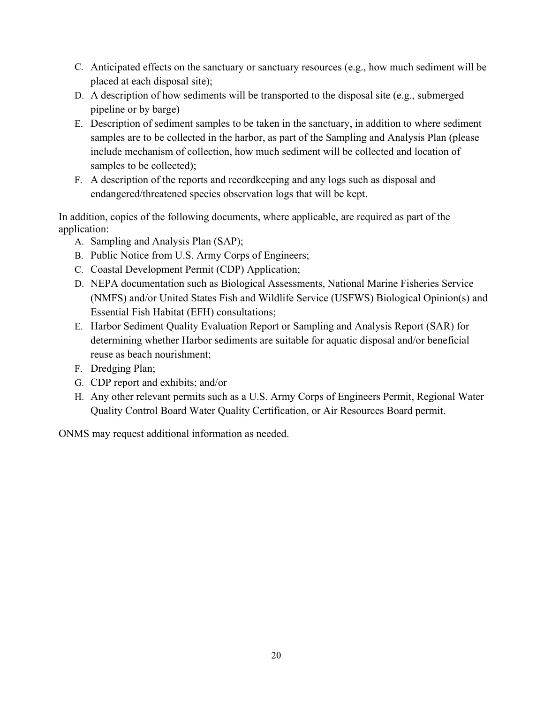- C. Anticipated effects on the sanctuary or sanctuary resources (e.g., how much sediment will be placed at each disposal site);
- D. A description of how sediments will be transported to the disposal site (e.g., submerged pipeline or by barge)
- E. Description of sediment samples to be taken in the sanctuary, in addition to where sediment samples are to be collected in the harbor, as part of the Sampling and Analysis Plan (please include mechanism of collection, how much sediment will be collected and location of samples to be collected);
- F. A description of the reports and recordkeeping and any logs such as disposal and endangered/threatened species observation logs that will be kept.

In addition, copies of the following documents, where applicable, are required as part of the application:

- A. Sampling and Analysis Plan (SAP);
- B. Public Notice from U.S. Army Corps of Engineers;
- C. Coastal Development Permit (CDP) Application;
- D. NEPA documentation such as Biological Assessments, National Marine Fisheries Service (NMFS) and/or United States Fish and Wildlife Service (USFWS) Biological Opinion(s) and Essential Fish Habitat (EFH) consultations;
- E. Harbor Sediment Quality Evaluation Report or Sampling and Analysis Report (SAR) for determining whether Harbor sediments are suitable for aquatic disposal and/or beneficial reuse as beach nourishment;
- F. Dredging Plan;
- G. CDP report and exhibits; and/or
- H. Any other relevant permits such as a U.S. Army Corps of Engineers Permit, Regional Water Quality Control Board Water Quality Certification, or Air Resources Board permit.

ONMS may request additional information as needed.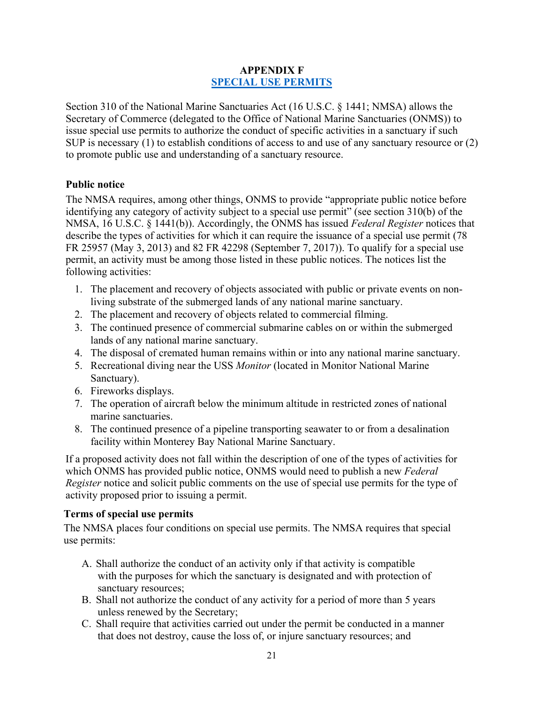# **APPENDIX F [SPECIAL USE PERMITS](https://sanctuaries.noaa.gov/management/permits/special.html)**

Section 310 of the National Marine Sanctuaries Act (16 U.S.C. § 1441; NMSA) allows the Secretary of Commerce (delegated to the Office of National Marine Sanctuaries (ONMS)) to issue special use permits to authorize the conduct of specific activities in a sanctuary if such SUP is necessary (1) to establish conditions of access to and use of any sanctuary resource or (2) to promote public use and understanding of a sanctuary resource.

# **Public notice**

The NMSA requires, among other things, ONMS to provide "appropriate public notice before identifying any category of activity subject to a special use permit" (see section 310(b) of the NMSA, 16 U.S.C. § 1441(b)). Accordingly, the ONMS has issued *Federal Register* notices that describe the types of activities for which it can require the issuance of a special use permit (78 FR 25957 (May 3, 2013) and 82 FR 42298 (September 7, 2017)). To qualify for a special use permit, an activity must be among those listed in these public notices. The notices list the following activities:

- 1. The placement and recovery of objects associated with public or private events on nonliving substrate of the submerged lands of any national marine sanctuary.
- 2. The placement and recovery of objects related to commercial filming.
- 3. The continued presence of commercial submarine cables on or within the submerged lands of any national marine sanctuary.
- 4. The disposal of cremated human remains within or into any national marine sanctuary.
- 5. Recreational diving near the USS *Monitor* (located in Monitor National Marine Sanctuary).
- 6. Fireworks displays.
- 7. The operation of aircraft below the minimum altitude in restricted zones of national marine sanctuaries.
- 8. The continued presence of a pipeline transporting seawater to or from a desalination facility within Monterey Bay National Marine Sanctuary.

If a proposed activity does not fall within the description of one of the types of activities for which ONMS has provided public notice, ONMS would need to publish a new *Federal Register* notice and solicit public comments on the use of special use permits for the type of activity proposed prior to issuing a permit.

#### **Terms of special use permits**

The NMSA places four conditions on special use permits. The NMSA requires that special use permits:

- A. Shall authorize the conduct of an activity only if that activity is compatible with the purposes for which the sanctuary is designated and with protection of sanctuary resources;
- B. Shall not authorize the conduct of any activity for a period of more than 5 years unless renewed by the Secretary;
- C. Shall require that activities carried out under the permit be conducted in a manner that does not destroy, cause the loss of, or injure sanctuary resources; and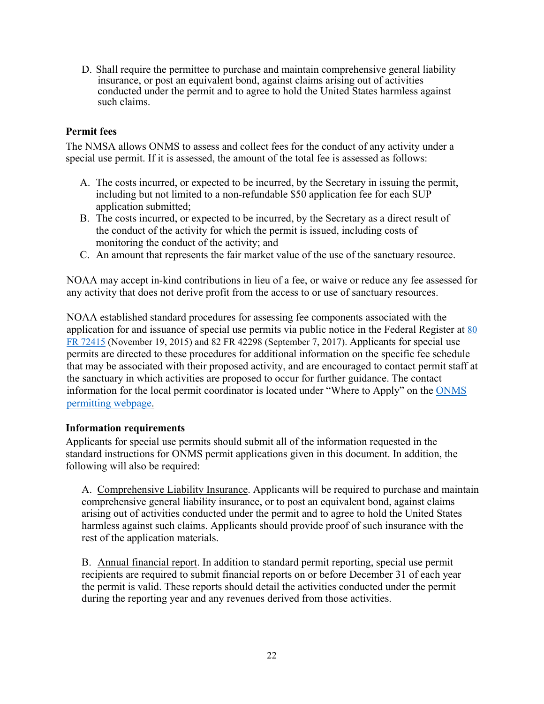D. Shall require the permittee to purchase and maintain comprehensive general liability insurance, or post an equivalent bond, against claims arising out of activities conducted under the permit and to agree to hold the United States harmless against such claims.

# **Permit fees**

The NMSA allows ONMS to assess and collect fees for the conduct of any activity under a special use permit. If it is assessed, the amount of the total fee is assessed as follows:

- A. The costs incurred, or expected to be incurred, by the Secretary in issuing the permit, including but not limited to a non-refundable \$50 application fee for each SUP application submitted;
- B. The costs incurred, or expected to be incurred, by the Secretary as a direct result of the conduct of the activity for which the permit is issued, including costs of monitoring the conduct of the activity; and
- C. An amount that represents the fair market value of the use of the sanctuary resource.

NOAA may accept in-kind contributions in lieu of a fee, or waive or reduce any fee assessed for any activity that does not derive profit from the access to or use of sanctuary resources.

NOAA established standard procedures for assessing fee components associated with the application for and issuance of special use permits via public notice in the Federal Register at  $80$ [FR 72415](https://www.federalregister.gov/documents/2015/11/19/2015-29524/final-notice-of-fee-calculations-for-special-use-permits) (November 19, 2015) and 82 FR 42298 (September 7, 2017). Applicants for special use permits are directed to these procedures for additional information on the specific fee schedule that may be associated with their proposed activity, and are encouraged to contact permit staff at the sanctuary in which activities are proposed to occur for further guidance. The contact information for the local permit coordinator is located under "Where to Apply" on the [ONMS](http://www.sanctuaries.noaa.gov/management/permits/welcome.html)  [permitting webpage.](http://www.sanctuaries.noaa.gov/management/permits/welcome.html)

#### **Information requirements**

Applicants for special use permits should submit all of the information requested in the standard instructions for ONMS permit applications given in this document. In addition, the following will also be required:

A. Comprehensive Liability Insurance. Applicants will be required to purchase and maintain comprehensive general liability insurance, or to post an equivalent bond, against claims arising out of activities conducted under the permit and to agree to hold the United States harmless against such claims. Applicants should provide proof of such insurance with the rest of the application materials.

B. Annual financial report. In addition to standard permit reporting, special use permit recipients are required to submit financial reports on or before December 31 of each year the permit is valid. These reports should detail the activities conducted under the permit during the reporting year and any revenues derived from those activities.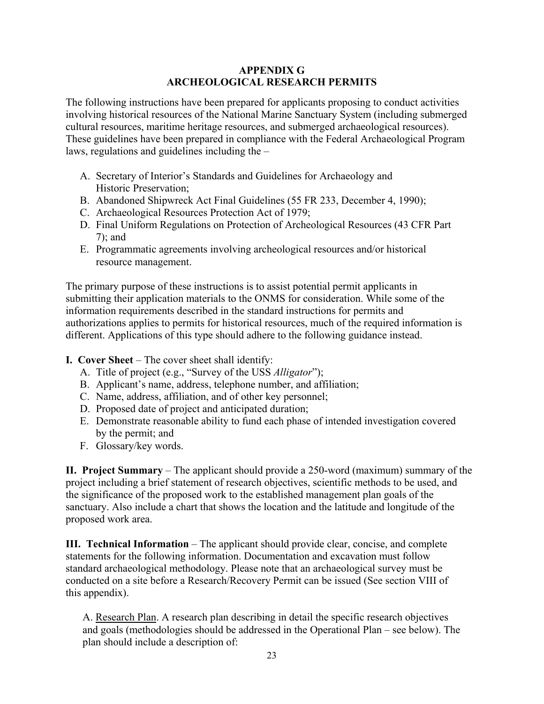# **APPENDIX G ARCHEOLOGICAL RESEARCH PERMITS**

The following instructions have been prepared for applicants proposing to conduct activities involving historical resources of the National Marine Sanctuary System (including submerged cultural resources, maritime heritage resources, and submerged archaeological resources). These guidelines have been prepared in compliance with the Federal Archaeological Program laws, regulations and guidelines including the –

- A. Secretary of Interior's Standards and Guidelines for Archaeology and Historic Preservation;
- B. Abandoned Shipwreck Act Final Guidelines (55 FR 233, December 4, 1990);
- C. Archaeological Resources Protection Act of 1979;
- D. Final Uniform Regulations on Protection of Archeological Resources (43 CFR Part 7); and
- E. Programmatic agreements involving archeological resources and/or historical resource management.

The primary purpose of these instructions is to assist potential permit applicants in submitting their application materials to the ONMS for consideration. While some of the information requirements described in the standard instructions for permits and authorizations applies to permits for historical resources, much of the required information is different. Applications of this type should adhere to the following guidance instead.

**I. Cover Sheet** – The cover sheet shall identify:

- A. Title of project (e.g., "Survey of the USS *Alligator*");
- B. Applicant's name, address, telephone number, and affiliation;
- C. Name, address, affiliation, and of other key personnel;
- D. Proposed date of project and anticipated duration;
- E. Demonstrate reasonable ability to fund each phase of intended investigation covered by the permit; and
- F. Glossary/key words.

**II. Project Summary** – The applicant should provide a 250-word (maximum) summary of the project including a brief statement of research objectives, scientific methods to be used, and the significance of the proposed work to the established management plan goals of the sanctuary. Also include a chart that shows the location and the latitude and longitude of the proposed work area.

**III. Technical Information** – The applicant should provide clear, concise, and complete statements for the following information. Documentation and excavation must follow standard archaeological methodology. Please note that an archaeological survey must be conducted on a site before a Research/Recovery Permit can be issued (See section VIII of this appendix).

A. Research Plan. A research plan describing in detail the specific research objectives and goals (methodologies should be addressed in the Operational Plan – see below). The plan should include a description of: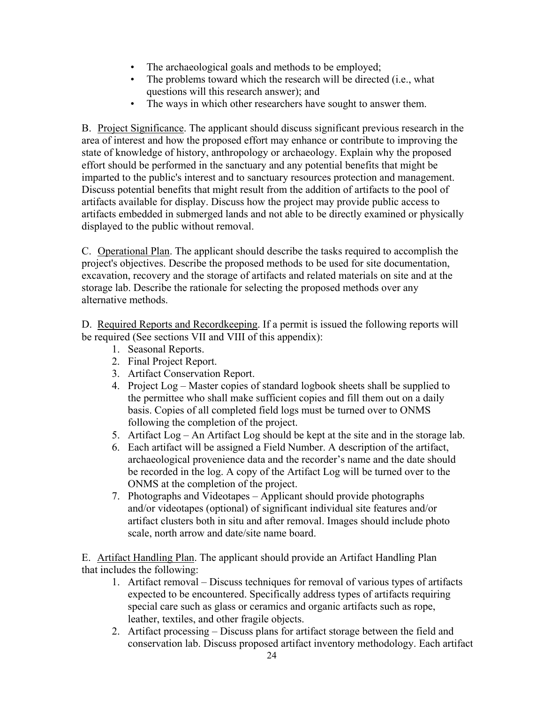- The archaeological goals and methods to be employed;
- The problems toward which the research will be directed (i.e., what questions will this research answer); and
- The ways in which other researchers have sought to answer them.

B. Project Significance. The applicant should discuss significant previous research in the area of interest and how the proposed effort may enhance or contribute to improving the state of knowledge of history, anthropology or archaeology. Explain why the proposed effort should be performed in the sanctuary and any potential benefits that might be imparted to the public's interest and to sanctuary resources protection and management. Discuss potential benefits that might result from the addition of artifacts to the pool of artifacts available for display. Discuss how the project may provide public access to artifacts embedded in submerged lands and not able to be directly examined or physically displayed to the public without removal.

C. Operational Plan. The applicant should describe the tasks required to accomplish the project's objectives. Describe the proposed methods to be used for site documentation, excavation, recovery and the storage of artifacts and related materials on site and at the storage lab. Describe the rationale for selecting the proposed methods over any alternative methods.

D. Required Reports and Recordkeeping. If a permit is issued the following reports will be required (See sections VII and VIII of this appendix):

- 1. Seasonal Reports.
- 2. Final Project Report.
- 3. Artifact Conservation Report.
- 4. Project Log Master copies of standard logbook sheets shall be supplied to the permittee who shall make sufficient copies and fill them out on a daily basis. Copies of all completed field logs must be turned over to ONMS following the completion of the project.
- 5. Artifact Log An Artifact Log should be kept at the site and in the storage lab.
- 6. Each artifact will be assigned a Field Number. A description of the artifact, archaeological provenience data and the recorder's name and the date should be recorded in the log. A copy of the Artifact Log will be turned over to the ONMS at the completion of the project.
- 7. Photographs and Videotapes Applicant should provide photographs and/or videotapes (optional) of significant individual site features and/or artifact clusters both in situ and after removal. Images should include photo scale, north arrow and date/site name board.

E. Artifact Handling Plan. The applicant should provide an Artifact Handling Plan that includes the following:

- 1. Artifact removal Discuss techniques for removal of various types of artifacts expected to be encountered. Specifically address types of artifacts requiring special care such as glass or ceramics and organic artifacts such as rope, leather, textiles, and other fragile objects.
- 2. Artifact processing Discuss plans for artifact storage between the field and conservation lab. Discuss proposed artifact inventory methodology. Each artifact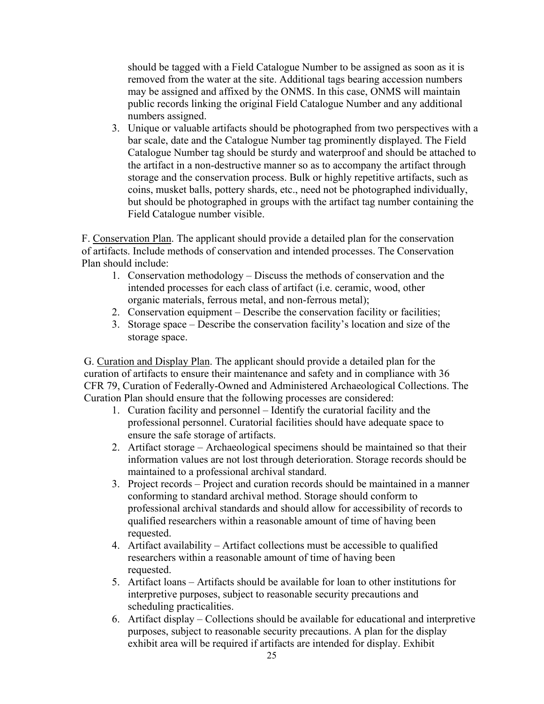should be tagged with a Field Catalogue Number to be assigned as soon as it is removed from the water at the site. Additional tags bearing accession numbers may be assigned and affixed by the ONMS. In this case, ONMS will maintain public records linking the original Field Catalogue Number and any additional numbers assigned.

3. Unique or valuable artifacts should be photographed from two perspectives with a bar scale, date and the Catalogue Number tag prominently displayed. The Field Catalogue Number tag should be sturdy and waterproof and should be attached to the artifact in a non-destructive manner so as to accompany the artifact through storage and the conservation process. Bulk or highly repetitive artifacts, such as coins, musket balls, pottery shards, etc., need not be photographed individually, but should be photographed in groups with the artifact tag number containing the Field Catalogue number visible.

F. Conservation Plan. The applicant should provide a detailed plan for the conservation of artifacts. Include methods of conservation and intended processes. The Conservation Plan should include:

- 1. Conservation methodology Discuss the methods of conservation and the intended processes for each class of artifact (i.e. ceramic, wood, other organic materials, ferrous metal, and non-ferrous metal);
- 2. Conservation equipment Describe the conservation facility or facilities;
- 3. Storage space Describe the conservation facility's location and size of the storage space.

G. Curation and Display Plan. The applicant should provide a detailed plan for the curation of artifacts to ensure their maintenance and safety and in compliance with 36 CFR 79, Curation of Federally-Owned and Administered Archaeological Collections. The Curation Plan should ensure that the following processes are considered:

- 1. Curation facility and personnel Identify the curatorial facility and the professional personnel. Curatorial facilities should have adequate space to ensure the safe storage of artifacts.
- 2. Artifact storage Archaeological specimens should be maintained so that their information values are not lost through deterioration. Storage records should be maintained to a professional archival standard.
- 3. Project records Project and curation records should be maintained in a manner conforming to standard archival method. Storage should conform to professional archival standards and should allow for accessibility of records to qualified researchers within a reasonable amount of time of having been requested.
- 4. Artifact availability Artifact collections must be accessible to qualified researchers within a reasonable amount of time of having been requested.
- 5. Artifact loans Artifacts should be available for loan to other institutions for interpretive purposes, subject to reasonable security precautions and scheduling practicalities.
- 6. Artifact display Collections should be available for educational and interpretive purposes, subject to reasonable security precautions. A plan for the display exhibit area will be required if artifacts are intended for display. Exhibit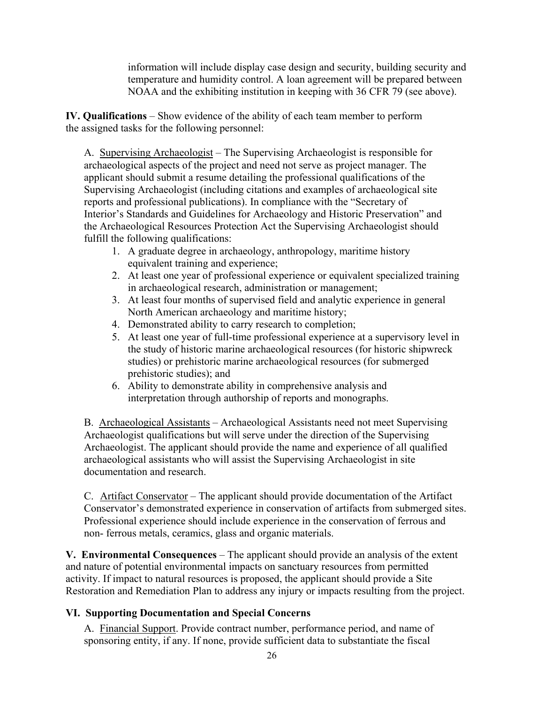information will include display case design and security, building security and temperature and humidity control. A loan agreement will be prepared between NOAA and the exhibiting institution in keeping with 36 CFR 79 (see above).

**IV. Qualifications** – Show evidence of the ability of each team member to perform the assigned tasks for the following personnel:

A. Supervising Archaeologist – The Supervising Archaeologist is responsible for archaeological aspects of the project and need not serve as project manager. The applicant should submit a resume detailing the professional qualifications of the Supervising Archaeologist (including citations and examples of archaeological site reports and professional publications). In compliance with the "Secretary of Interior's Standards and Guidelines for Archaeology and Historic Preservation" and the Archaeological Resources Protection Act the Supervising Archaeologist should fulfill the following qualifications:

- 1. A graduate degree in archaeology, anthropology, maritime history equivalent training and experience;
- 2. At least one year of professional experience or equivalent specialized training in archaeological research, administration or management;
- 3. At least four months of supervised field and analytic experience in general North American archaeology and maritime history;
- 4. Demonstrated ability to carry research to completion;
- 5. At least one year of full-time professional experience at a supervisory level in the study of historic marine archaeological resources (for historic shipwreck studies) or prehistoric marine archaeological resources (for submerged prehistoric studies); and
- 6. Ability to demonstrate ability in comprehensive analysis and interpretation through authorship of reports and monographs.

B. Archaeological Assistants – Archaeological Assistants need not meet Supervising Archaeologist qualifications but will serve under the direction of the Supervising Archaeologist. The applicant should provide the name and experience of all qualified archaeological assistants who will assist the Supervising Archaeologist in site documentation and research.

C. Artifact Conservator – The applicant should provide documentation of the Artifact Conservator's demonstrated experience in conservation of artifacts from submerged sites. Professional experience should include experience in the conservation of ferrous and non- ferrous metals, ceramics, glass and organic materials.

**V. Environmental Consequences** – The applicant should provide an analysis of the extent and nature of potential environmental impacts on sanctuary resources from permitted activity. If impact to natural resources is proposed, the applicant should provide a Site Restoration and Remediation Plan to address any injury or impacts resulting from the project.

# **VI. Supporting Documentation and Special Concerns**

A. Financial Support. Provide contract number, performance period, and name of sponsoring entity, if any. If none, provide sufficient data to substantiate the fiscal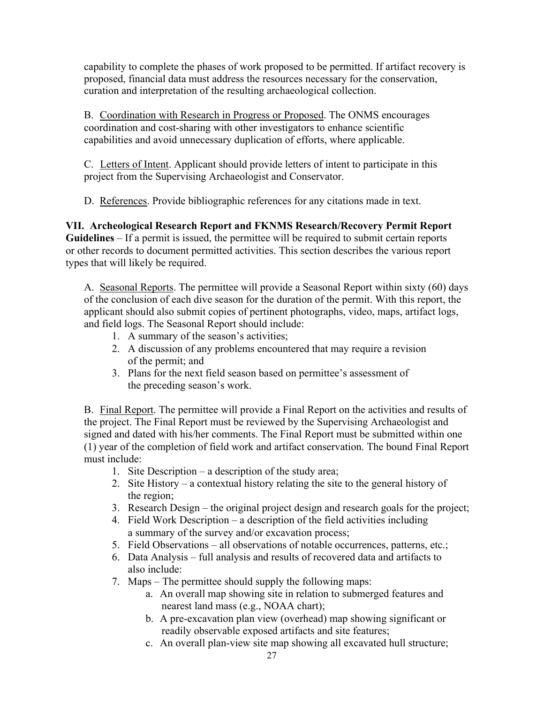capability to complete the phases of work proposed to be permitted. If artifact recovery is proposed, financial data must address the resources necessary for the conservation, curation and interpretation of the resulting archaeological collection.

B. Coordination with Research in Progress or Proposed. The ONMS encourages coordination and cost-sharing with other investigators to enhance scientific capabilities and avoid unnecessary duplication of efforts, where applicable.

C. Letters of Intent. Applicant should provide letters of intent to participate in this project from the Supervising Archaeologist and Conservator.

D. References. Provide bibliographic references for any citations made in text.

**VII. Archeological Research Report and FKNMS Research/Recovery Permit Report Guidelines** – If a permit is issued, the permittee will be required to submit certain reports or other records to document permitted activities. This section describes the various report types that will likely be required.

A. Seasonal Reports. The permittee will provide a Seasonal Report within sixty (60) days of the conclusion of each dive season for the duration of the permit. With this report, the applicant should also submit copies of pertinent photographs, video, maps, artifact logs, and field logs. The Seasonal Report should include:

- 1. A summary of the season's activities;
- 2. A discussion of any problems encountered that may require a revision of the permit; and
- 3. Plans for the next field season based on permittee's assessment of the preceding season's work.

B. Final Report. The permittee will provide a Final Report on the activities and results of the project. The Final Report must be reviewed by the Supervising Archaeologist and signed and dated with his/her comments. The Final Report must be submitted within one (1) year of the completion of field work and artifact conservation. The bound Final Report must include:

- 1. Site Description a description of the study area;
- 2. Site History a contextual history relating the site to the general history of the region;
- 3. Research Design the original project design and research goals for the project;
- 4. Field Work Description a description of the field activities including a summary of the survey and/or excavation process;
- 5. Field Observations all observations of notable occurrences, patterns, etc.;
- 6. Data Analysis full analysis and results of recovered data and artifacts to also include:
- 7. Maps The permittee should supply the following maps:
	- a. An overall map showing site in relation to submerged features and nearest land mass (e.g., NOAA chart);
	- b. A pre-excavation plan view (overhead) map showing significant or readily observable exposed artifacts and site features;
	- c. An overall plan-view site map showing all excavated hull structure;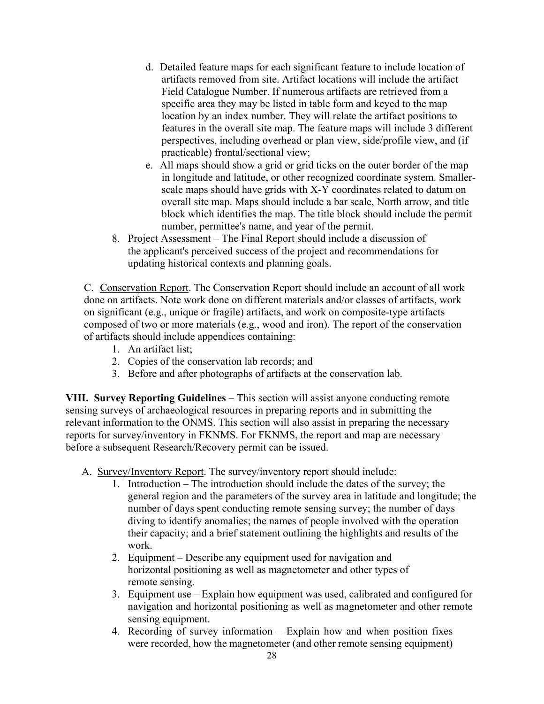- d. Detailed feature maps for each significant feature to include location of artifacts removed from site. Artifact locations will include the artifact Field Catalogue Number. If numerous artifacts are retrieved from a specific area they may be listed in table form and keyed to the map location by an index number. They will relate the artifact positions to features in the overall site map. The feature maps will include 3 different perspectives, including overhead or plan view, side/profile view, and (if practicable) frontal/sectional view;
- e. All maps should show a grid or grid ticks on the outer border of the map in longitude and latitude, or other recognized coordinate system. Smallerscale maps should have grids with X-Y coordinates related to datum on overall site map. Maps should include a bar scale, North arrow, and title block which identifies the map. The title block should include the permit number, permittee's name, and year of the permit.
- 8. Project Assessment The Final Report should include a discussion of the applicant's perceived success of the project and recommendations for updating historical contexts and planning goals.

C. Conservation Report. The Conservation Report should include an account of all work done on artifacts. Note work done on different materials and/or classes of artifacts, work on significant (e.g., unique or fragile) artifacts, and work on composite-type artifacts composed of two or more materials (e.g., wood and iron). The report of the conservation of artifacts should include appendices containing:

- 1. An artifact list;
- 2. Copies of the conservation lab records; and
- 3. Before and after photographs of artifacts at the conservation lab.

**VIII. Survey Reporting Guidelines** – This section will assist anyone conducting remote sensing surveys of archaeological resources in preparing reports and in submitting the relevant information to the ONMS. This section will also assist in preparing the necessary reports for survey/inventory in FKNMS. For FKNMS, the report and map are necessary before a subsequent Research/Recovery permit can be issued.

- A. Survey/Inventory Report. The survey/inventory report should include:
	- 1. Introduction The introduction should include the dates of the survey; the general region and the parameters of the survey area in latitude and longitude; the number of days spent conducting remote sensing survey; the number of days diving to identify anomalies; the names of people involved with the operation their capacity; and a brief statement outlining the highlights and results of the work.
	- 2. Equipment Describe any equipment used for navigation and horizontal positioning as well as magnetometer and other types of remote sensing.
	- 3. Equipment use Explain how equipment was used, calibrated and configured for navigation and horizontal positioning as well as magnetometer and other remote sensing equipment.
	- 4. Recording of survey information Explain how and when position fixes were recorded, how the magnetometer (and other remote sensing equipment)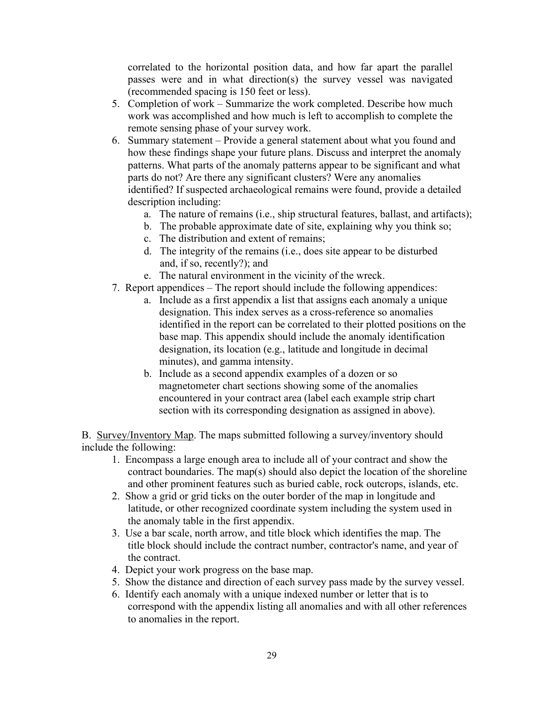correlated to the horizontal position data, and how far apart the parallel passes were and in what direction(s) the survey vessel was navigated (recommended spacing is 150 feet or less).

- 5. Completion of work Summarize the work completed. Describe how much work was accomplished and how much is left to accomplish to complete the remote sensing phase of your survey work.
- 6. Summary statement Provide a general statement about what you found and how these findings shape your future plans. Discuss and interpret the anomaly patterns. What parts of the anomaly patterns appear to be significant and what parts do not? Are there any significant clusters? Were any anomalies identified? If suspected archaeological remains were found, provide a detailed description including:
	- a. The nature of remains (i.e., ship structural features, ballast, and artifacts);
	- b. The probable approximate date of site, explaining why you think so;
	- c. The distribution and extent of remains;
	- d. The integrity of the remains (i.e., does site appear to be disturbed and, if so, recently?); and
	- e. The natural environment in the vicinity of the wreck.
- 7. Report appendices The report should include the following appendices:
	- a. Include as a first appendix a list that assigns each anomaly a unique designation. This index serves as a cross-reference so anomalies identified in the report can be correlated to their plotted positions on the base map. This appendix should include the anomaly identification designation, its location (e.g., latitude and longitude in decimal minutes), and gamma intensity.
	- b. Include as a second appendix examples of a dozen or so magnetometer chart sections showing some of the anomalies encountered in your contract area (label each example strip chart section with its corresponding designation as assigned in above).

B. Survey/Inventory Map. The maps submitted following a survey/inventory should include the following:

- 1. Encompass a large enough area to include all of your contract and show the contract boundaries. The map(s) should also depict the location of the shoreline and other prominent features such as buried cable, rock outcrops, islands, etc.
- 2. Show a grid or grid ticks on the outer border of the map in longitude and latitude, or other recognized coordinate system including the system used in the anomaly table in the first appendix.
- 3. Use a bar scale, north arrow, and title block which identifies the map. The title block should include the contract number, contractor's name, and year of the contract.
- 4. Depict your work progress on the base map.
- 5. Show the distance and direction of each survey pass made by the survey vessel.
- 6. Identify each anomaly with a unique indexed number or letter that is to correspond with the appendix listing all anomalies and with all other references to anomalies in the report.